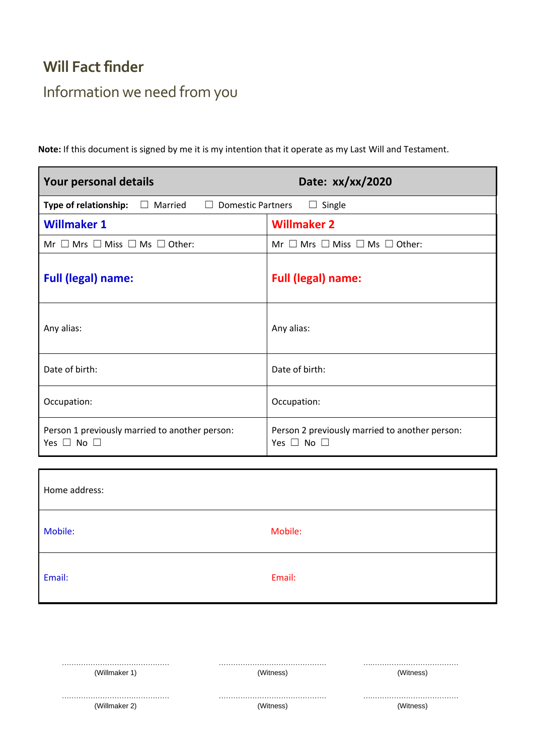#### **Will Fact finder**

### Information we need from you

**Note:** If this document is signed by me it is my intention that it operate as my Last Will and Testament.

| Your personal details                                                        | Date: xx/xx/2020                                                       |
|------------------------------------------------------------------------------|------------------------------------------------------------------------|
| Married<br>Type of relationship:<br><b>Domestic Partners</b><br>Ш<br>$\perp$ | Single<br>$\Box$                                                       |
| <b>Willmaker 1</b>                                                           | <b>Willmaker 2</b>                                                     |
| Mr $\Box$ Mrs $\Box$ Miss $\Box$ Ms $\Box$ Other:                            | Mr $\Box$ Mrs $\Box$ Miss $\Box$ Ms $\Box$ Other:                      |
| <b>Full (legal) name:</b>                                                    | <b>Full (legal) name:</b>                                              |
| Any alias:                                                                   | Any alias:                                                             |
| Date of birth:                                                               | Date of birth:                                                         |
| Occupation:                                                                  | Occupation:                                                            |
| Person 1 previously married to another person:<br>Yes $\Box$ No $\Box$       | Person 2 previously married to another person:<br>Yes $\Box$ No $\Box$ |

| Home address: |         |
|---------------|---------|
| Mobile:       | Mobile: |
| Email:        | Email:  |

| (Willmaker 1) | Witness)  | /Vitness |
|---------------|-----------|----------|
|               |           |          |
| (Willmaker 2) | 'Witness) | Vitness  |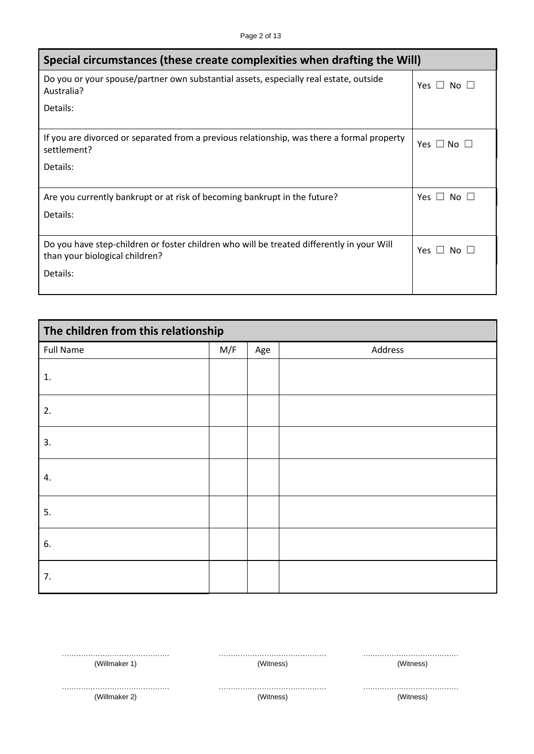| Special circumstances (these create complexities when drafting the Will)                                  |                      |  |  |
|-----------------------------------------------------------------------------------------------------------|----------------------|--|--|
| Do you or your spouse/partner own substantial assets, especially real estate, outside<br>Australia?       | Yes $\Box$ No $\Box$ |  |  |
| Details:                                                                                                  |                      |  |  |
| If you are divorced or separated from a previous relationship, was there a formal property<br>settlement? | Yes $\Box$ No $\Box$ |  |  |
| Details:                                                                                                  |                      |  |  |
| Are you currently bankrupt or at risk of becoming bankrupt in the future?<br>Details:                     | Yes $\Box$ No $\Box$ |  |  |
| Do you have step-children or foster children who will be treated differently in your Will                 |                      |  |  |
| than your biological children?                                                                            | Yes $\Box$ No $\Box$ |  |  |
| Details:                                                                                                  |                      |  |  |

| The children from this relationship |     |     |         |  |
|-------------------------------------|-----|-----|---------|--|
| <b>Full Name</b>                    | M/F | Age | Address |  |
| 1.                                  |     |     |         |  |
| 2.                                  |     |     |         |  |
| 3.                                  |     |     |         |  |
| 4.                                  |     |     |         |  |
| 5.                                  |     |     |         |  |
| 6.                                  |     |     |         |  |
| 7.                                  |     |     |         |  |

| (Willmaker    |  |
|---------------|--|
| (Willmaker 2) |  |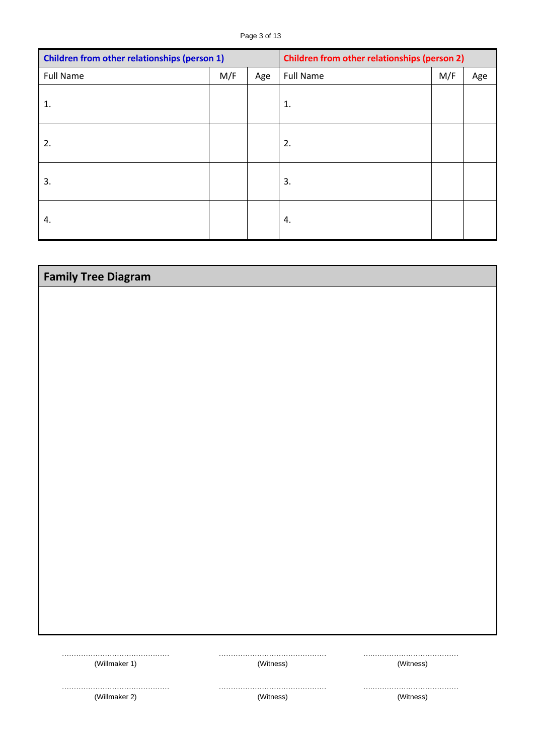| <b>Children from other relationships (person 1)</b> |     | <b>Children from other relationships (person 2)</b> |                  |     |     |
|-----------------------------------------------------|-----|-----------------------------------------------------|------------------|-----|-----|
| <b>Full Name</b>                                    | M/F | Age                                                 | <b>Full Name</b> | M/F | Age |
| 1.                                                  |     |                                                     | 1.               |     |     |
| 2.                                                  |     |                                                     | 2.               |     |     |
| 3.                                                  |     |                                                     | 3.               |     |     |
| 4.                                                  |     |                                                     | 4.               |     |     |

| <b>Family Tree Diagram</b> |               |           |  |  |
|----------------------------|---------------|-----------|--|--|
|                            |               |           |  |  |
|                            |               |           |  |  |
|                            |               |           |  |  |
|                            |               |           |  |  |
|                            |               |           |  |  |
|                            |               |           |  |  |
|                            |               |           |  |  |
|                            |               |           |  |  |
|                            |               |           |  |  |
|                            |               |           |  |  |
|                            |               |           |  |  |
|                            |               |           |  |  |
|                            |               |           |  |  |
|                            |               |           |  |  |
|                            |               |           |  |  |
|                            |               |           |  |  |
| (Willmaker 1)              | <br>(Witness) | (Witness) |  |  |
|                            |               |           |  |  |
| (Willmaker 2)              | (Witness)     | (Witness) |  |  |
|                            |               |           |  |  |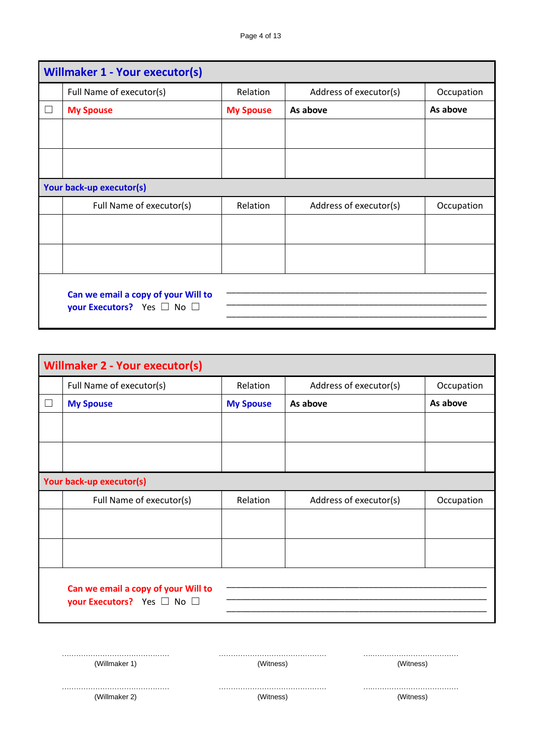| <b>Willmaker 1 - Your executor(s)</b>                                       |                  |                        |            |  |  |
|-----------------------------------------------------------------------------|------------------|------------------------|------------|--|--|
| Full Name of executor(s)                                                    | Relation         | Address of executor(s) | Occupation |  |  |
| <b>My Spouse</b>                                                            | <b>My Spouse</b> | As above               | As above   |  |  |
|                                                                             |                  |                        |            |  |  |
|                                                                             |                  |                        |            |  |  |
| Your back-up executor(s)                                                    |                  |                        |            |  |  |
| Full Name of executor(s)                                                    | Relation         | Address of executor(s) | Occupation |  |  |
|                                                                             |                  |                        |            |  |  |
|                                                                             |                  |                        |            |  |  |
| Can we email a copy of your Will to<br>your Executors? Yes $\Box$ No $\Box$ |                  |                        |            |  |  |

| <b>Willmaker 2 - Your executor(s)</b> |                                                                             |                  |                        |            |  |
|---------------------------------------|-----------------------------------------------------------------------------|------------------|------------------------|------------|--|
|                                       | Full Name of executor(s)                                                    | Relation         | Address of executor(s) | Occupation |  |
|                                       | <b>My Spouse</b>                                                            | <b>My Spouse</b> | As above               | As above   |  |
|                                       |                                                                             |                  |                        |            |  |
|                                       |                                                                             |                  |                        |            |  |
|                                       | Your back-up executor(s)                                                    |                  |                        |            |  |
|                                       | Full Name of executor(s)                                                    | Relation         | Address of executor(s) | Occupation |  |
|                                       |                                                                             |                  |                        |            |  |
|                                       |                                                                             |                  |                        |            |  |
|                                       | Can we email a copy of your Will to<br>your Executors? Yes $\Box$ No $\Box$ |                  |                        |            |  |

| (Willmaker 1)       | (Witness)     | (Witness)   |  |
|---------------------|---------------|-------------|--|
|                     |               |             |  |
| $(M/\text{ii} + 2)$ | $(M/l$ tnocc) | (\\/itnacc) |  |

(Willmaker 2)

(Witness)

(Witness)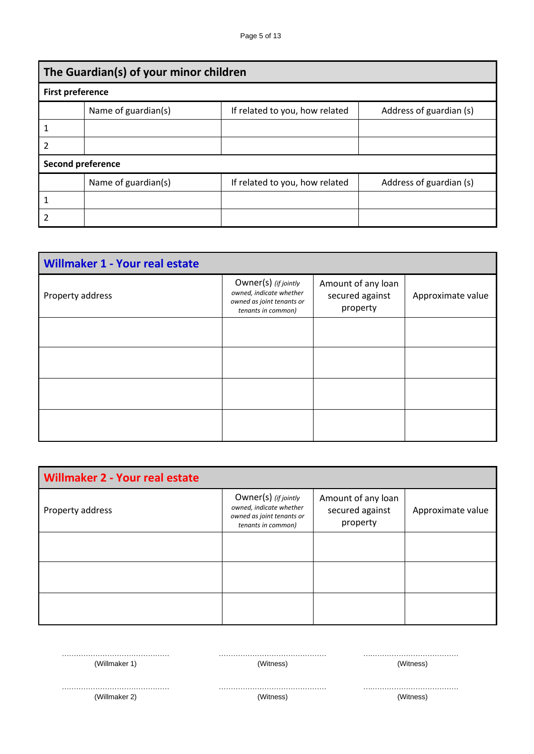| The Guardian(s) of your minor children |                          |                                |                         |  |  |  |
|----------------------------------------|--------------------------|--------------------------------|-------------------------|--|--|--|
| <b>First preference</b>                |                          |                                |                         |  |  |  |
|                                        | Name of guardian(s)      | If related to you, how related | Address of guardian (s) |  |  |  |
|                                        |                          |                                |                         |  |  |  |
| 2                                      |                          |                                |                         |  |  |  |
|                                        | <b>Second preference</b> |                                |                         |  |  |  |
|                                        | Name of guardian(s)      | If related to you, how related | Address of guardian (s) |  |  |  |
|                                        |                          |                                |                         |  |  |  |
| 2                                      |                          |                                |                         |  |  |  |

| <b>Willmaker 1 - Your real estate</b> |                                                                                                    |                                                   |                   |
|---------------------------------------|----------------------------------------------------------------------------------------------------|---------------------------------------------------|-------------------|
| Property address                      | Owner(s) (if jointly<br>owned, indicate whether<br>owned as joint tenants or<br>tenants in common) | Amount of any loan<br>secured against<br>property | Approximate value |
|                                       |                                                                                                    |                                                   |                   |
|                                       |                                                                                                    |                                                   |                   |
|                                       |                                                                                                    |                                                   |                   |
|                                       |                                                                                                    |                                                   |                   |

| <b>Willmaker 2 - Your real estate</b> |                                                                                                    |                                                   |                   |
|---------------------------------------|----------------------------------------------------------------------------------------------------|---------------------------------------------------|-------------------|
| Property address                      | Owner(s) (if jointly<br>owned, indicate whether<br>owned as joint tenants or<br>tenants in common) | Amount of any loan<br>secured against<br>property | Approximate value |
|                                       |                                                                                                    |                                                   |                   |
|                                       |                                                                                                    |                                                   |                   |
|                                       |                                                                                                    |                                                   |                   |

| (Willmaker |  |
|------------|--|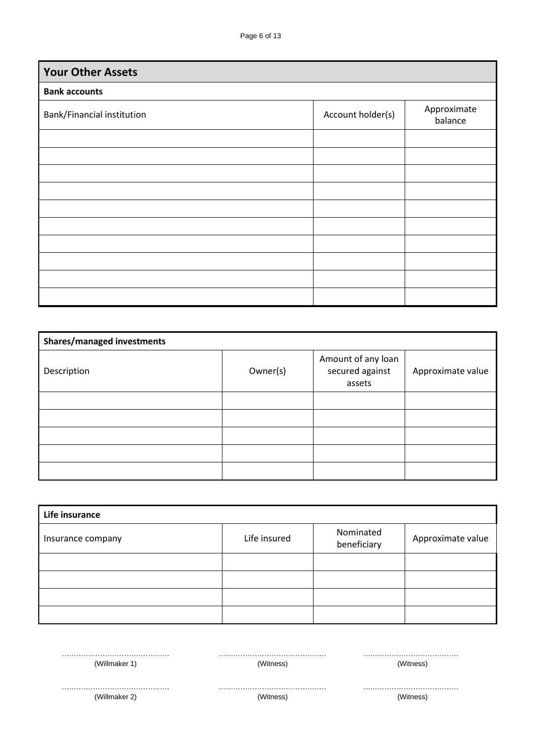| <b>Your Other Assets</b>   |                   |                        |
|----------------------------|-------------------|------------------------|
| <b>Bank accounts</b>       |                   |                        |
| Bank/Financial institution | Account holder(s) | Approximate<br>balance |
|                            |                   |                        |
|                            |                   |                        |
|                            |                   |                        |
|                            |                   |                        |
|                            |                   |                        |
|                            |                   |                        |
|                            |                   |                        |
|                            |                   |                        |
|                            |                   |                        |
|                            |                   |                        |

| <b>Shares/managed investments</b> |          |                                                 |                   |
|-----------------------------------|----------|-------------------------------------------------|-------------------|
| Description                       | Owner(s) | Amount of any loan<br>secured against<br>assets | Approximate value |
|                                   |          |                                                 |                   |
|                                   |          |                                                 |                   |
|                                   |          |                                                 |                   |
|                                   |          |                                                 |                   |
|                                   |          |                                                 |                   |

| Life insurance    |              |                          |                   |
|-------------------|--------------|--------------------------|-------------------|
| Insurance company | Life insured | Nominated<br>beneficiary | Approximate value |
|                   |              |                          |                   |
|                   |              |                          |                   |
|                   |              |                          |                   |
|                   |              |                          |                   |

| (Willmaker 1) | (Witness) | (Witness) |
|---------------|-----------|-----------|
|               |           |           |
| (Willmaker 2) | (Witness) | (Witness) |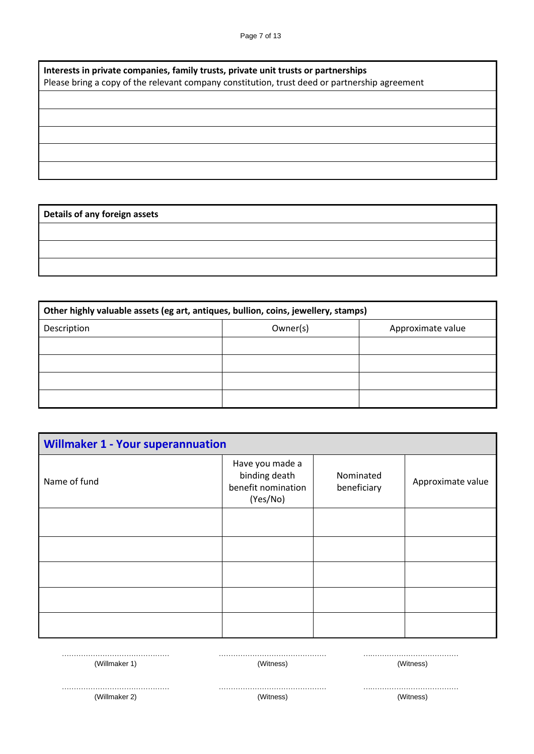| Interests in private companies, family trusts, private unit trusts or partnerships<br>Please bring a copy of the relevant company constitution, trust deed or partnership agreement |  |  |
|-------------------------------------------------------------------------------------------------------------------------------------------------------------------------------------|--|--|
|                                                                                                                                                                                     |  |  |
|                                                                                                                                                                                     |  |  |
|                                                                                                                                                                                     |  |  |
|                                                                                                                                                                                     |  |  |
|                                                                                                                                                                                     |  |  |

**Details of any foreign assets**

| Other highly valuable assets (eg art, antiques, bullion, coins, jewellery, stamps) |          |                   |  |
|------------------------------------------------------------------------------------|----------|-------------------|--|
| Description                                                                        | Owner(s) | Approximate value |  |
|                                                                                    |          |                   |  |
|                                                                                    |          |                   |  |
|                                                                                    |          |                   |  |
|                                                                                    |          |                   |  |

| <b>Willmaker 1 - Your superannuation</b> |                                                                    |                          |                   |
|------------------------------------------|--------------------------------------------------------------------|--------------------------|-------------------|
| Name of fund                             | Have you made a<br>binding death<br>benefit nomination<br>(Yes/No) | Nominated<br>beneficiary | Approximate value |
|                                          |                                                                    |                          |                   |
|                                          |                                                                    |                          |                   |
|                                          |                                                                    |                          |                   |
|                                          |                                                                    |                          |                   |
|                                          |                                                                    |                          |                   |
| .<br>.                                   |                                                                    |                          |                   |
| (Willmaker 1)                            | (Witness)                                                          |                          | (Witness)         |

……………………………………… (Willmaker 2)

……………………………………… (Witness)

……… ….……………………………… (Witness)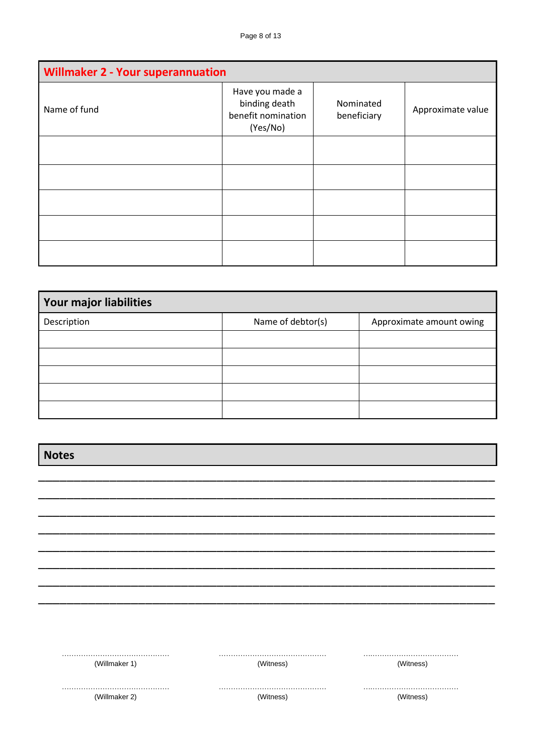| <b>Willmaker 2 - Your superannuation</b> |                                                                    |                          |                   |
|------------------------------------------|--------------------------------------------------------------------|--------------------------|-------------------|
| Name of fund                             | Have you made a<br>binding death<br>benefit nomination<br>(Yes/No) | Nominated<br>beneficiary | Approximate value |
|                                          |                                                                    |                          |                   |
|                                          |                                                                    |                          |                   |
|                                          |                                                                    |                          |                   |
|                                          |                                                                    |                          |                   |
|                                          |                                                                    |                          |                   |

| <b>Your major liabilities</b> |                   |                          |  |
|-------------------------------|-------------------|--------------------------|--|
| Description                   | Name of debtor(s) | Approximate amount owing |  |
|                               |                   |                          |  |
|                               |                   |                          |  |
|                               |                   |                          |  |
|                               |                   |                          |  |
|                               |                   |                          |  |

| <b>Notes</b>  |           |           |
|---------------|-----------|-----------|
|               |           |           |
|               |           |           |
|               |           |           |
|               |           |           |
|               |           |           |
|               |           |           |
|               |           |           |
|               |           |           |
| <br>.         | .<br>.    | .<br>.    |
| (Willmaker 1) | (Witness) | (Witness) |
| (Willmaker 2) | (Witness) | (Witness) |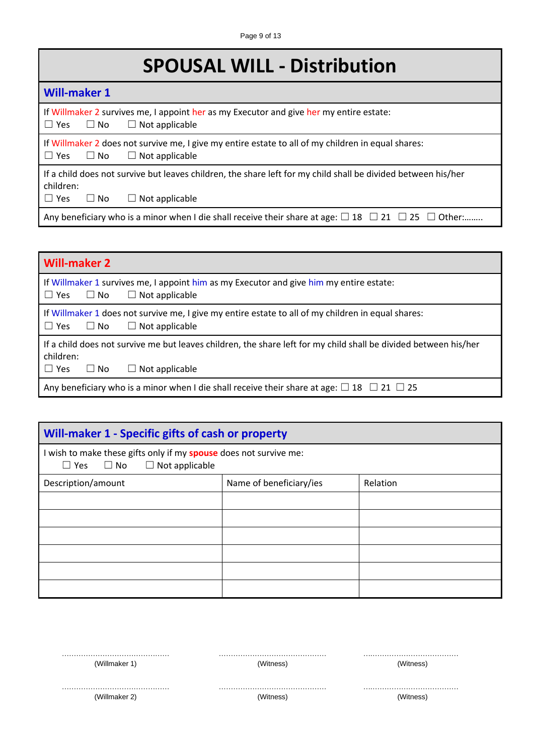# **SPOUSAL WILL - Distribution**

| <b>Will-maker 1</b>                                                                                                                                                            |
|--------------------------------------------------------------------------------------------------------------------------------------------------------------------------------|
| If Willmaker 2 survives me, I appoint her as my Executor and give her my entire estate:<br>$\Box$ Yes $\Box$ No<br>$\Box$ Not applicable                                       |
| If Willmaker 2 does not survive me, I give my entire estate to all of my children in equal shares:<br>$\Box$ Yes $\Box$ No<br>$\Box$ Not applicable                            |
| If a child does not survive but leaves children, the share left for my child shall be divided between his/her<br>children:<br>$\Box$ Yes<br>$\Box$ Not applicable<br>$\Box$ No |
| Any beneficiary who is a minor when I die shall receive their share at age: $\Box$ 18 $\Box$ 21 $\Box$ 25 $\Box$ Other:                                                        |

| <b>Will-maker 2</b>                                                                                                                                                          |  |  |
|------------------------------------------------------------------------------------------------------------------------------------------------------------------------------|--|--|
| If Willmaker 1 survives me, I appoint him as my Executor and give him my entire estate:<br>$\Box$ Yes $\Box$ No<br>$\Box$ Not applicable                                     |  |  |
| If Willmaker 1 does not survive me, I give my entire estate to all of my children in equal shares:<br>$\Box$ Yes $\Box$ No<br>$\Box$ Not applicable                          |  |  |
| If a child does not survive me but leaves children, the share left for my child shall be divided between his/her<br>children:<br>$\Box$ Yes<br>$\Box$ Not applicable<br>∪ No |  |  |
| Any beneficiary who is a minor when I die shall receive their share at age: $\Box$ 18 $\Box$ 21 $\Box$ 25                                                                    |  |  |

| Will-maker 1 - Specific gifts of cash or property                                                                      |                         |          |
|------------------------------------------------------------------------------------------------------------------------|-------------------------|----------|
| I wish to make these gifts only if my <b>spouse</b> does not survive me:<br>$\Box$ Yes $\Box$ No $\Box$ Not applicable |                         |          |
| Description/amount                                                                                                     | Name of beneficiary/ies | Relation |
|                                                                                                                        |                         |          |
|                                                                                                                        |                         |          |
|                                                                                                                        |                         |          |
|                                                                                                                        |                         |          |
|                                                                                                                        |                         |          |
|                                                                                                                        |                         |          |

| (Willmaker | (Witness) | 'Vitness |
|------------|-----------|----------|
|            |           |          |
| (Willmaker |           |          |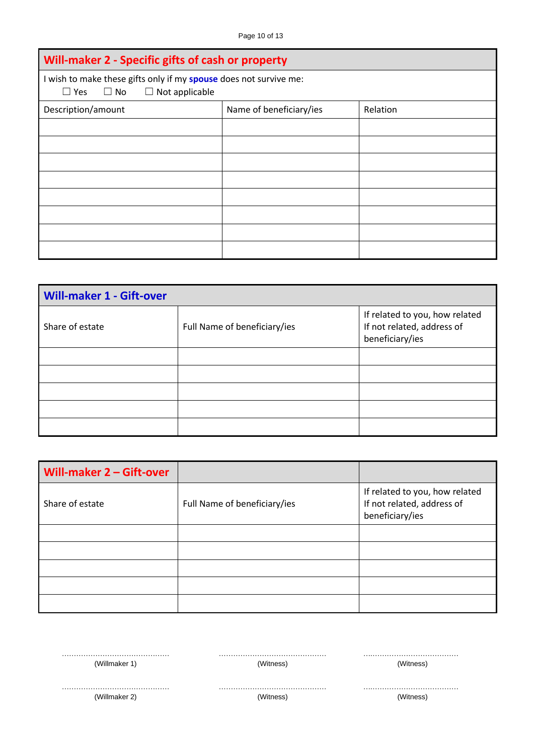| Will-maker 2 - Specific gifts of cash or property                                                                  |                         |          |
|--------------------------------------------------------------------------------------------------------------------|-------------------------|----------|
| I wish to make these gifts only if my spouse does not survive me:<br>$\Box$ No $\Box$ Not applicable<br>$\Box$ Yes |                         |          |
| Description/amount                                                                                                 | Name of beneficiary/ies | Relation |
|                                                                                                                    |                         |          |
|                                                                                                                    |                         |          |
|                                                                                                                    |                         |          |
|                                                                                                                    |                         |          |
|                                                                                                                    |                         |          |
|                                                                                                                    |                         |          |
|                                                                                                                    |                         |          |
|                                                                                                                    |                         |          |

| <b>Will-maker 1 - Gift-over</b> |                              |                                                                                 |
|---------------------------------|------------------------------|---------------------------------------------------------------------------------|
| Share of estate                 | Full Name of beneficiary/ies | If related to you, how related<br>If not related, address of<br>beneficiary/ies |
|                                 |                              |                                                                                 |
|                                 |                              |                                                                                 |
|                                 |                              |                                                                                 |
|                                 |                              |                                                                                 |
|                                 |                              |                                                                                 |

| Will-maker 2 - Gift-over |                              |                                                                                 |
|--------------------------|------------------------------|---------------------------------------------------------------------------------|
| Share of estate          | Full Name of beneficiary/ies | If related to you, how related<br>If not related, address of<br>beneficiary/ies |
|                          |                              |                                                                                 |
|                          |                              |                                                                                 |
|                          |                              |                                                                                 |
|                          |                              |                                                                                 |
|                          |                              |                                                                                 |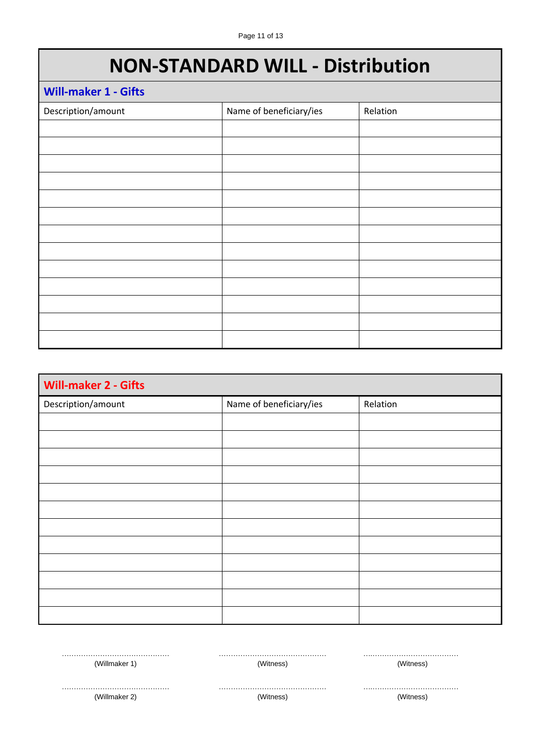## **NON-STANDARD WILL - Distribution**

| <b>Will-maker 1 - Gifts</b> |                         |          |
|-----------------------------|-------------------------|----------|
| Description/amount          | Name of beneficiary/ies | Relation |
|                             |                         |          |
|                             |                         |          |
|                             |                         |          |
|                             |                         |          |
|                             |                         |          |
|                             |                         |          |
|                             |                         |          |
|                             |                         |          |
|                             |                         |          |
|                             |                         |          |
|                             |                         |          |
|                             |                         |          |
|                             |                         |          |

| <b>Will-maker 2 - Gifts</b> |                         |          |
|-----------------------------|-------------------------|----------|
| Description/amount          | Name of beneficiary/ies | Relation |
|                             |                         |          |
|                             |                         |          |
|                             |                         |          |
|                             |                         |          |
|                             |                         |          |
|                             |                         |          |
|                             |                         |          |
|                             |                         |          |
|                             |                         |          |
|                             |                         |          |
|                             |                         |          |
|                             |                         |          |

……………………………………… (Willmaker 1)

……………………………………… (Witness)

……… ….……………………………… (Witness)

……………………………………… (Willmaker 2)

……………………………………… (Witness)

……… ….……………………………… (Witness)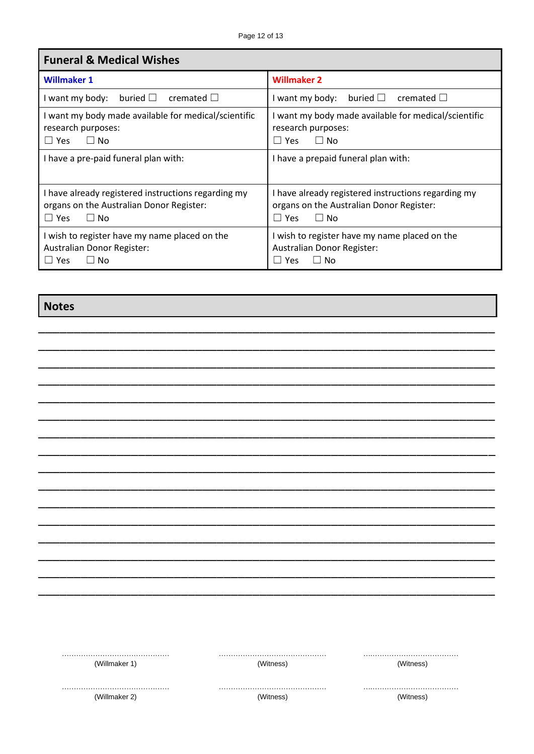٦

| <b>Funeral &amp; Medical Wishes</b>                  |                                                      |
|------------------------------------------------------|------------------------------------------------------|
| <b>Willmaker 1</b>                                   | <b>Willmaker 2</b>                                   |
| buried $\square$ cremated $\square$                  | I want my body: buried $\square$                     |
| I want my body:                                      | cremated $\Box$                                      |
| I want my body made available for medical/scientific | I want my body made available for medical/scientific |
| research purposes:                                   | research purposes:                                   |
| $\Box$ No                                            | $\Box$ No                                            |
| $\Box$ Yes                                           | $\Box$ Yes                                           |
| I have a pre-paid funeral plan with:                 | I have a prepaid funeral plan with:                  |
| I have already registered instructions regarding my  | I have already registered instructions regarding my  |
| organs on the Australian Donor Register:             | organs on the Australian Donor Register:             |
| $\Box$ Yes                                           | $\Box$ Yes                                           |
| $\Box$ No                                            | $\Box$ No                                            |
| I wish to register have my name placed on the        | I wish to register have my name placed on the        |
| Australian Donor Register:                           | Australian Donor Register:                           |
| $\Box$ No                                            | $\Box$ No                                            |
| $\Box$ Yes                                           | $\Box$ Yes                                           |

\_\_\_\_\_\_\_\_\_\_\_\_\_\_\_\_\_\_\_\_\_\_\_\_\_\_\_\_\_\_\_\_\_\_\_\_\_\_\_\_\_\_\_\_\_\_\_\_\_\_\_\_\_\_\_\_\_\_\_\_\_\_\_\_ \_\_\_\_\_\_\_\_\_\_\_\_\_\_\_\_\_\_\_\_\_\_\_\_\_\_\_\_\_\_\_\_\_\_\_\_\_\_\_\_\_\_\_\_\_\_\_\_\_\_\_\_\_\_\_\_\_\_\_\_\_\_\_\_ \_\_\_\_\_\_\_\_\_\_\_\_\_\_\_\_\_\_\_\_\_\_\_\_\_\_\_\_\_\_\_\_\_\_\_\_\_\_\_\_\_\_\_\_\_\_\_\_\_\_\_\_\_\_\_\_\_\_\_\_\_\_\_\_ \_\_\_\_\_\_\_\_\_\_\_\_\_\_\_\_\_\_\_\_\_\_\_\_\_\_\_\_\_\_\_\_\_\_\_\_\_\_\_\_\_\_\_\_\_\_\_\_\_\_\_\_\_\_\_\_\_\_\_\_\_\_\_\_ \_\_\_\_\_\_\_\_\_\_\_\_\_\_\_\_\_\_\_\_\_\_\_\_\_\_\_\_\_\_\_\_\_\_\_\_\_\_\_\_\_\_\_\_\_\_\_\_\_\_\_\_\_\_\_\_\_\_\_\_\_\_\_\_ \_\_\_\_\_\_\_\_\_\_\_\_\_\_\_\_\_\_\_\_\_\_\_\_\_\_\_\_\_\_\_\_\_\_\_\_\_\_\_\_\_\_\_\_\_\_\_\_\_\_\_\_\_\_\_\_\_\_\_\_\_\_\_\_ \_\_\_\_\_\_\_\_\_\_\_\_\_\_\_\_\_\_\_\_\_\_\_\_\_\_\_\_\_\_\_\_\_\_\_\_\_\_\_\_\_\_\_\_\_\_\_\_\_\_\_\_\_\_\_\_\_\_\_\_\_\_\_\_ \_\_\_\_\_\_\_\_\_\_\_\_\_\_\_\_\_\_\_\_\_\_\_\_\_\_\_\_\_\_\_\_\_\_\_\_\_\_\_\_\_\_\_\_\_\_\_\_\_\_\_\_\_\_\_\_\_\_\_\_\_\_\_\_ \_\_\_\_\_\_\_\_\_\_\_\_\_\_\_\_\_\_\_\_\_\_\_\_\_\_\_\_\_\_\_\_\_\_\_\_\_\_\_\_\_\_\_\_\_\_\_\_\_\_\_\_\_\_\_\_\_\_\_\_\_\_\_\_ \_\_\_\_\_\_\_\_\_\_\_\_\_\_\_\_\_\_\_\_\_\_\_\_\_\_\_\_\_\_\_\_\_\_\_\_\_\_\_\_\_\_\_\_\_\_\_\_\_\_\_\_\_\_\_\_\_\_\_\_\_\_\_\_ \_\_\_\_\_\_\_\_\_\_\_\_\_\_\_\_\_\_\_\_\_\_\_\_\_\_\_\_\_\_\_\_\_\_\_\_\_\_\_\_\_\_\_\_\_\_\_\_\_\_\_\_\_\_\_\_\_\_\_\_\_\_\_\_ \_\_\_\_\_\_\_\_\_\_\_\_\_\_\_\_\_\_\_\_\_\_\_\_\_\_\_\_\_\_\_\_\_\_\_\_\_\_\_\_\_\_\_\_\_\_\_\_\_\_\_\_\_\_\_\_\_\_\_\_\_\_\_\_ \_\_\_\_\_\_\_\_\_\_\_\_\_\_\_\_\_\_\_\_\_\_\_\_\_\_\_\_\_\_\_\_\_\_\_\_\_\_\_\_\_\_\_\_\_\_\_\_\_\_\_\_\_\_\_\_\_\_\_\_\_\_\_\_ \_\_\_\_\_\_\_\_\_\_\_\_\_\_\_\_\_\_\_\_\_\_\_\_\_\_\_\_\_\_\_\_\_\_\_\_\_\_\_\_\_\_\_\_\_\_\_\_\_\_\_\_\_\_\_\_\_\_\_\_\_\_\_\_ \_\_\_\_\_\_\_\_\_\_\_\_\_\_\_\_\_\_\_\_\_\_\_\_\_\_\_\_\_\_\_\_\_\_\_\_\_\_\_\_\_\_\_\_\_\_\_\_\_\_\_\_\_\_\_\_\_\_\_\_\_\_\_\_ \_\_\_\_\_\_\_\_\_\_\_\_\_\_\_\_\_\_\_\_\_\_\_\_\_\_\_\_\_\_\_\_\_\_\_\_\_\_\_\_\_\_\_\_\_\_\_\_\_\_\_\_\_\_\_\_\_\_\_\_\_\_\_\_

**Notes**

г

| (Willmaker 1) |  |
|---------------|--|
|               |  |
|               |  |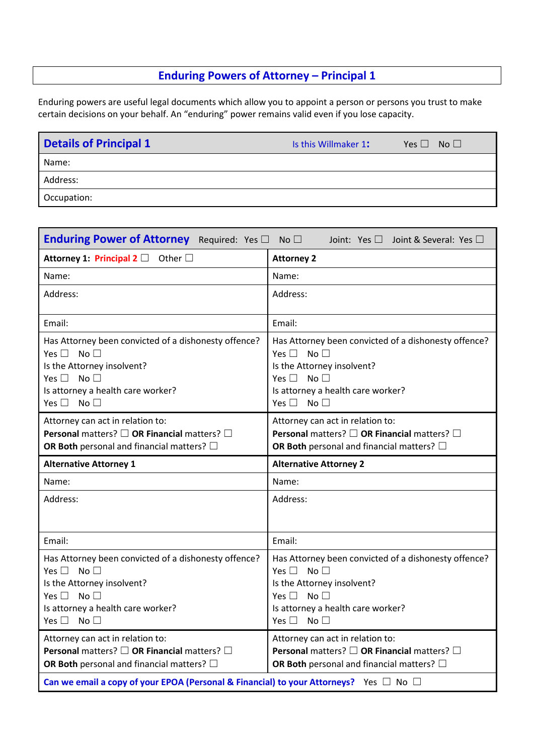#### **Enduring Powers of Attorney – Principal 1**

Enduring powers are useful legal documents which allow you to appoint a person or persons you trust to make certain decisions on your behalf. An "enduring" power remains valid even if you lose capacity.

| <b>Details of Principal 1</b> | Is this Willmaker 1: | No <sub>1</sub><br>Yes $\Box$ |
|-------------------------------|----------------------|-------------------------------|
| Name:                         |                      |                               |
| Address:                      |                      |                               |
| Occupation:                   |                      |                               |

| Enduring Power of Attorney Required: Yes $\Box$ No $\Box$                                                                                                                                                   | Joint: Yes $\square$ Joint & Several: Yes $\square$                                                                                                                                                         |
|-------------------------------------------------------------------------------------------------------------------------------------------------------------------------------------------------------------|-------------------------------------------------------------------------------------------------------------------------------------------------------------------------------------------------------------|
| Attorney 1: Principal 2 $\Box$ Other $\Box$                                                                                                                                                                 | <b>Attorney 2</b>                                                                                                                                                                                           |
| Name:                                                                                                                                                                                                       | Name:                                                                                                                                                                                                       |
| Address:                                                                                                                                                                                                    | Address:                                                                                                                                                                                                    |
| Email:                                                                                                                                                                                                      | Email:                                                                                                                                                                                                      |
| Has Attorney been convicted of a dishonesty offence?<br>Yes $\square$ No $\square$<br>Is the Attorney insolvent?<br>Yes $\square$ No $\square$<br>Is attorney a health care worker?<br>Yes $\Box$ No $\Box$ | Has Attorney been convicted of a dishonesty offence?<br>Yes $\Box$ No $\Box$<br>Is the Attorney insolvent?<br>Yes $\square$ No $\square$<br>Is attorney a health care worker?<br>Yes $\square$ No $\square$ |
| Attorney can act in relation to:<br>Personal matters? $\square$ OR Financial matters? $\square$<br>OR Both personal and financial matters? $\square$                                                        | Attorney can act in relation to:<br>Personal matters? $\square$ OR Financial matters? $\square$<br>OR Both personal and financial matters? $\square$                                                        |
| <b>Alternative Attorney 1</b>                                                                                                                                                                               | <b>Alternative Attorney 2</b>                                                                                                                                                                               |
|                                                                                                                                                                                                             |                                                                                                                                                                                                             |
| Name:                                                                                                                                                                                                       | Name:                                                                                                                                                                                                       |
| Address:                                                                                                                                                                                                    | Address:                                                                                                                                                                                                    |
| Email:                                                                                                                                                                                                      | Email:                                                                                                                                                                                                      |
| Has Attorney been convicted of a dishonesty offence?<br>Yes $\Box$ No $\Box$<br>Is the Attorney insolvent?<br>Yes $\square$ No $\square$<br>Is attorney a health care worker?<br>Yes $\square$ No $\square$ | Has Attorney been convicted of a dishonesty offence?<br>Yes $\square$<br>No $\Box$<br>Is the Attorney insolvent?<br>Yes $\Box$<br>No $\Box$<br>Is attorney a health care worker?<br>Yes $\Box$ No $\Box$    |
| Attorney can act in relation to:<br>Personal matters? □ OR Financial matters? □<br>OR Both personal and financial matters? $\square$                                                                        | Attorney can act in relation to:<br>Personal matters? □ OR Financial matters? □<br>OR Both personal and financial matters? $\Box$                                                                           |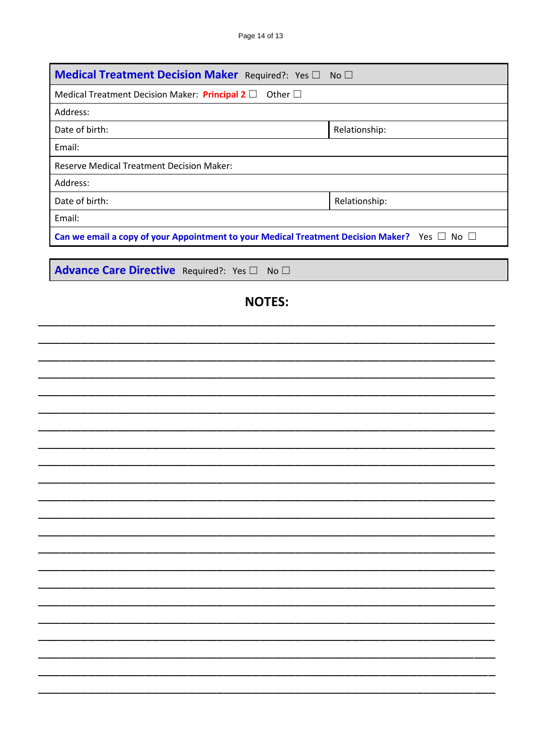| Medical Treatment Decision Maker Required?: Yes □ No □            |                                                                                                        |
|-------------------------------------------------------------------|--------------------------------------------------------------------------------------------------------|
| Medical Treatment Decision Maker: Principal 2 $\Box$ Other $\Box$ |                                                                                                        |
| Address:                                                          |                                                                                                        |
| Date of birth:                                                    | Relationship:                                                                                          |
| Email:                                                            |                                                                                                        |
| <b>Reserve Medical Treatment Decision Maker:</b>                  |                                                                                                        |
| Address:                                                          |                                                                                                        |
| Date of birth:                                                    | Relationship:                                                                                          |
| Email:                                                            |                                                                                                        |
|                                                                   | Can we email a copy of your Appointment to your Medical Treatment Decision Maker? Yes $\Box$ No $\Box$ |
|                                                                   |                                                                                                        |
| Advance Care Directive Required?: Yes I No I                      |                                                                                                        |
|                                                                   | <b>NOTES:</b>                                                                                          |
|                                                                   |                                                                                                        |
|                                                                   |                                                                                                        |
|                                                                   |                                                                                                        |
|                                                                   |                                                                                                        |
|                                                                   |                                                                                                        |
|                                                                   |                                                                                                        |
|                                                                   |                                                                                                        |
|                                                                   |                                                                                                        |
|                                                                   |                                                                                                        |
|                                                                   |                                                                                                        |
|                                                                   |                                                                                                        |
|                                                                   |                                                                                                        |
|                                                                   |                                                                                                        |
|                                                                   |                                                                                                        |
|                                                                   |                                                                                                        |
|                                                                   |                                                                                                        |
|                                                                   |                                                                                                        |
|                                                                   |                                                                                                        |
|                                                                   |                                                                                                        |
|                                                                   |                                                                                                        |
|                                                                   |                                                                                                        |
|                                                                   |                                                                                                        |
|                                                                   |                                                                                                        |
|                                                                   |                                                                                                        |
|                                                                   |                                                                                                        |
|                                                                   |                                                                                                        |
|                                                                   |                                                                                                        |
|                                                                   |                                                                                                        |
|                                                                   |                                                                                                        |
|                                                                   |                                                                                                        |
|                                                                   |                                                                                                        |
|                                                                   |                                                                                                        |
|                                                                   |                                                                                                        |
|                                                                   |                                                                                                        |
|                                                                   |                                                                                                        |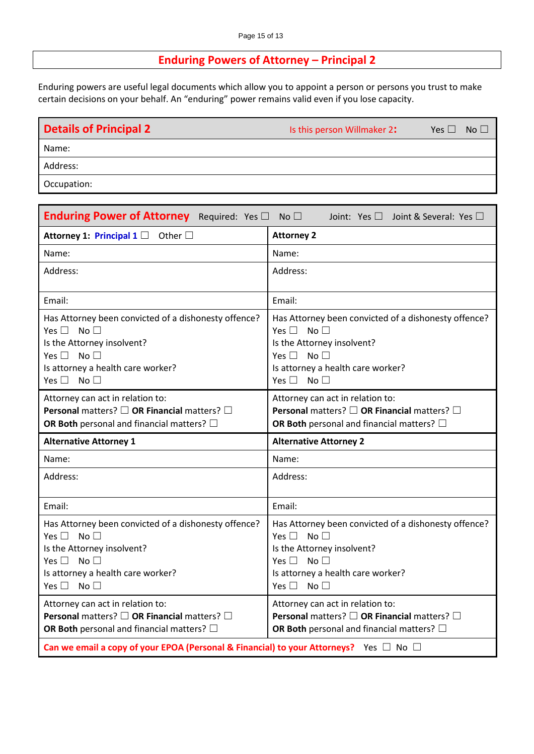#### **Enduring Powers of Attorney – Principal 2**

Enduring powers are useful legal documents which allow you to appoint a person or persons you trust to make certain decisions on your behalf. An "enduring" power remains valid even if you lose capacity.

| <b>Details of Principal 2</b> | Is this person Willmaker 2: | Yes $\square$ | No <sub>1</sub> |
|-------------------------------|-----------------------------|---------------|-----------------|
| Name:                         |                             |               |                 |
| Address:                      |                             |               |                 |
| Occupation:                   |                             |               |                 |

| <b>Enduring Power of Attorney</b> Required: Yes $\Box$ No $\Box$                                                                                                                                                        | Joint: Yes $\square$ Joint & Several: Yes $\square$                                                                                                                                                                              |
|-------------------------------------------------------------------------------------------------------------------------------------------------------------------------------------------------------------------------|----------------------------------------------------------------------------------------------------------------------------------------------------------------------------------------------------------------------------------|
| Attorney 1: Principal 1 $\Box$ Other $\Box$                                                                                                                                                                             | <b>Attorney 2</b>                                                                                                                                                                                                                |
| Name:                                                                                                                                                                                                                   | Name:                                                                                                                                                                                                                            |
| Address:                                                                                                                                                                                                                | Address:                                                                                                                                                                                                                         |
| Email:                                                                                                                                                                                                                  | Email:                                                                                                                                                                                                                           |
| Has Attorney been convicted of a dishonesty offence?<br>No $\Box$<br>Yes $\square$<br>Is the Attorney insolvent?<br>No <sup>1</sup><br>Yes $\square$<br>Is attorney a health care worker?<br>Yes $\square$ No $\square$ | Has Attorney been convicted of a dishonesty offence?<br>No <sub>1</sub><br>Yes $\Box$<br>Is the Attorney insolvent?<br>Yes $\square$<br>No <sub>1</sub><br>Is attorney a health care worker?<br>Yes $\square$<br>No <sub>1</sub> |
| Attorney can act in relation to:<br><b>Personal</b> matters? $\square$ OR Financial matters? $\square$<br>OR Both personal and financial matters? $\square$                                                             | Attorney can act in relation to:<br><b>Personal</b> matters? $\square$ OR Financial matters? $\square$<br>OR Both personal and financial matters? $\square$                                                                      |
|                                                                                                                                                                                                                         |                                                                                                                                                                                                                                  |
| <b>Alternative Attorney 1</b>                                                                                                                                                                                           | <b>Alternative Attorney 2</b>                                                                                                                                                                                                    |
| Name:                                                                                                                                                                                                                   | Name:                                                                                                                                                                                                                            |
| Address:                                                                                                                                                                                                                | Address:                                                                                                                                                                                                                         |
| Email:                                                                                                                                                                                                                  | Email:                                                                                                                                                                                                                           |
| Has Attorney been convicted of a dishonesty offence?<br>Yes $\square$ No $\square$<br>Is the Attorney insolvent?<br>Yes $\square$ No $\square$<br>Is attorney a health care worker?<br>Yes $\square$ No $\square$       | Has Attorney been convicted of a dishonesty offence?<br>Yes $\Box$ No $\Box$<br>Is the Attorney insolvent?<br>Yes $\square$<br>No $\Box$<br>Is attorney a health care worker?<br>Yes $\square$<br>No $\Box$                      |
| Attorney can act in relation to:<br>Personal matters? □ OR Financial matters? □<br>OR Both personal and financial matters? $\square$                                                                                    | Attorney can act in relation to:<br>Personal matters? □ OR Financial matters? □<br>OR Both personal and financial matters? $\square$                                                                                             |